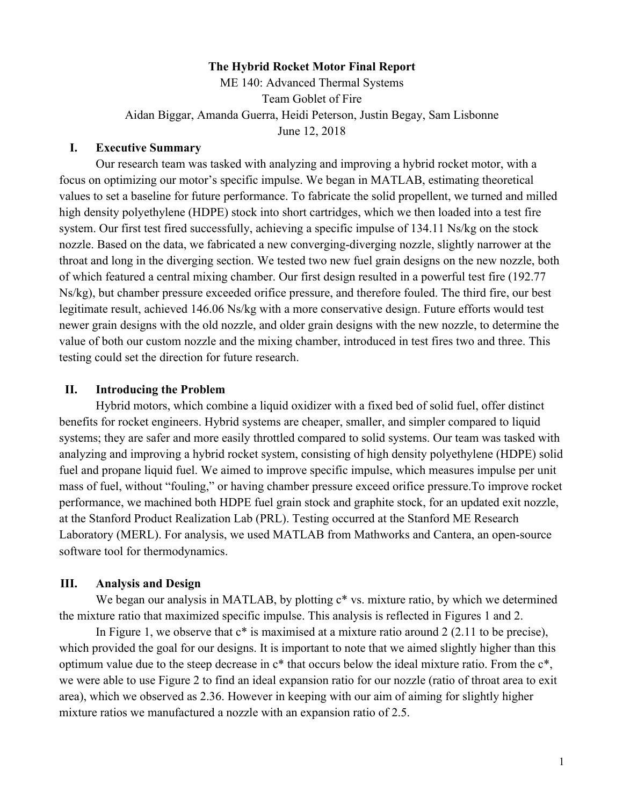## **The Hybrid Rocket Motor Final Report**

ME 140: Advanced Thermal Systems Team Goblet of Fire Aidan Biggar, Amanda Guerra, Heidi Peterson, Justin Begay, Sam Lisbonne June 12, 2018

## **I. Executive Summary**

Our research team was tasked with analyzing and improving a hybrid rocket motor, with a focus on optimizing our motor's specific impulse. We began in MATLAB, estimating theoretical values to set a baseline for future performance. To fabricate the solid propellent, we turned and milled high density polyethylene (HDPE) stock into short cartridges, which we then loaded into a test fire system. Our first test fired successfully, achieving a specific impulse of 134.11 Ns/kg on the stock nozzle. Based on the data, we fabricated a new converging-diverging nozzle, slightly narrower at the throat and long in the diverging section. We tested two new fuel grain designs on the new nozzle, both of which featured a central mixing chamber. Our first design resulted in a powerful test fire (192.77 Ns/kg), but chamber pressure exceeded orifice pressure, and therefore fouled. The third fire, our best legitimate result, achieved 146.06 Ns/kg with a more conservative design. Future efforts would test newer grain designs with the old nozzle, and older grain designs with the new nozzle, to determine the value of both our custom nozzle and the mixing chamber, introduced in test fires two and three. This testing could set the direction for future research.

#### **II. Introducing the Problem**

Hybrid motors, which combine a liquid oxidizer with a fixed bed of solid fuel, offer distinct benefits for rocket engineers. Hybrid systems are cheaper, smaller, and simpler compared to liquid systems; they are safer and more easily throttled compared to solid systems. Our team was tasked with analyzing and improving a hybrid rocket system, consisting of high density polyethylene (HDPE) solid fuel and propane liquid fuel. We aimed to improve specific impulse, which measures impulse per unit mass of fuel, without "fouling," or having chamber pressure exceed orifice pressure.To improve rocket performance, we machined both HDPE fuel grain stock and graphite stock, for an updated exit nozzle, at the Stanford Product Realization Lab (PRL). Testing occurred at the Stanford ME Research Laboratory (MERL). For analysis, we used MATLAB from Mathworks and Cantera, an open-source software tool for thermodynamics.

#### **III. Analysis and Design**

We began our analysis in MATLAB, by plotting  $c^*$  vs. mixture ratio, by which we determined the mixture ratio that maximized specific impulse. This analysis is reflected in Figures 1 and 2.

In Figure 1, we observe that  $c^*$  is maximised at a mixture ratio around 2 (2.11 to be precise), which provided the goal for our designs. It is important to note that we aimed slightly higher than this optimum value due to the steep decrease in c\* that occurs below the ideal mixture ratio. From the c\*, we were able to use Figure 2 to find an ideal expansion ratio for our nozzle (ratio of throat area to exit area), which we observed as 2.36. However in keeping with our aim of aiming for slightly higher mixture ratios we manufactured a nozzle with an expansion ratio of 2.5.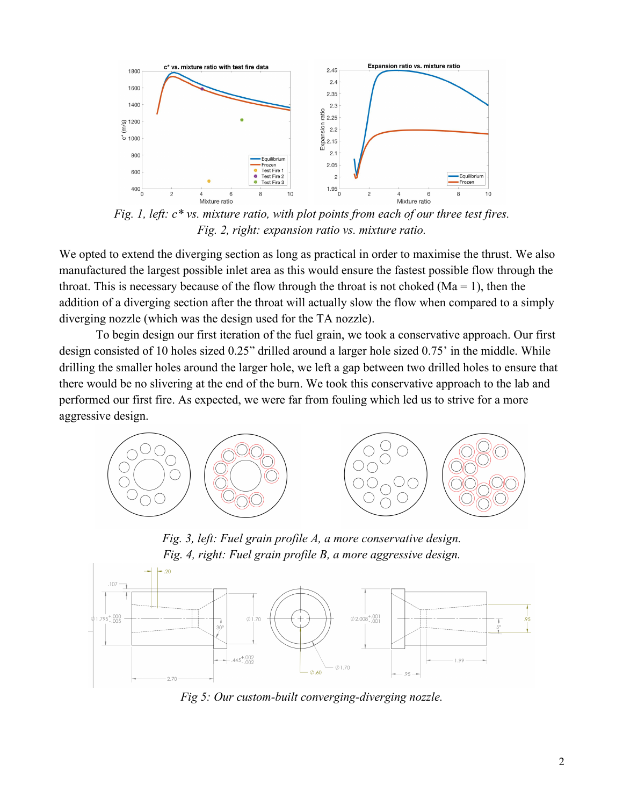

*Fig. 1, left: c\* vs. mixture ratio, with plot points from each of our three test fires. Fig. 2, right: expansion ratio vs. mixture ratio.*

We opted to extend the diverging section as long as practical in order to maximise the thrust. We also manufactured the largest possible inlet area as this would ensure the fastest possible flow through the throat. This is necessary because of the flow through the throat is not choked ( $Ma = 1$ ), then the addition of a diverging section after the throat will actually slow the flow when compared to a simply diverging nozzle (which was the design used for the TA nozzle).

To begin design our first iteration of the fuel grain, we took a conservative approach. Our first design consisted of 10 holes sized 0.25" drilled around a larger hole sized 0.75' in the middle. While drilling the smaller holes around the larger hole, we left a gap between two drilled holes to ensure that there would be no slivering at the end of the burn. We took this conservative approach to the lab and performed our first fire. As expected, we were far from fouling which led us to strive for a more aggressive design.



*Fig. 3, left: Fuel grain profile A, a more conservative design. Fig. 4, right: Fuel grain profile B, a more aggressive design.*



*Fig 5: Our custom-built converging-diverging nozzle.*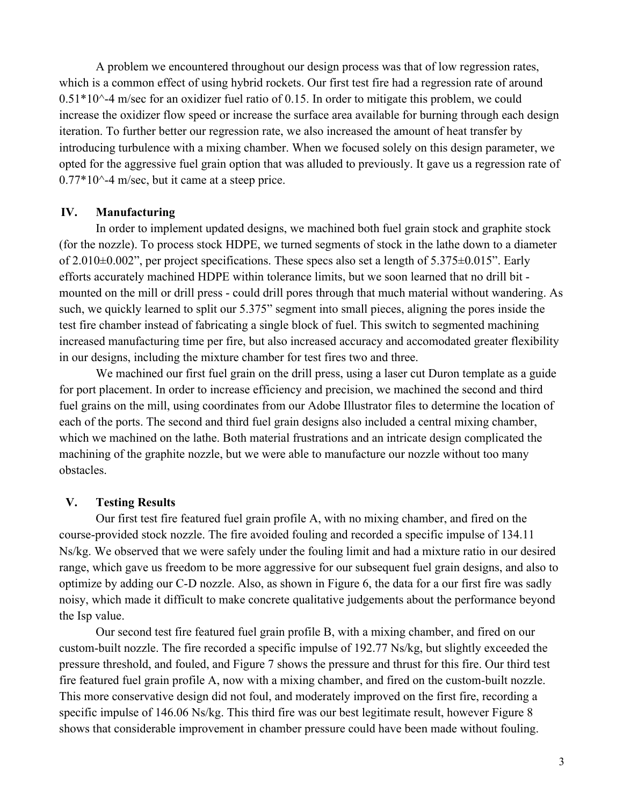A problem we encountered throughout our design process was that of low regression rates, which is a common effect of using hybrid rockets. Our first test fire had a regression rate of around  $0.51*10^{\degree}$ -4 m/sec for an oxidizer fuel ratio of 0.15. In order to mitigate this problem, we could increase the oxidizer flow speed or increase the surface area available for burning through each design iteration. To further better our regression rate, we also increased the amount of heat transfer by introducing turbulence with a mixing chamber. When we focused solely on this design parameter, we opted for the aggressive fuel grain option that was alluded to previously. It gave us a regression rate of  $0.77*10^{\scriptstyle\wedge}$ -4 m/sec, but it came at a steep price.

## **IV. Manufacturing**

In order to implement updated designs, we machined both fuel grain stock and graphite stock (for the nozzle). To process stock HDPE, we turned segments of stock in the lathe down to a diameter of 2.010±0.002", per project specifications. These specs also set a length of 5.375±0.015". Early efforts accurately machined HDPE within tolerance limits, but we soon learned that no drill bit mounted on the mill or drill press - could drill pores through that much material without wandering. As such, we quickly learned to split our 5.375" segment into small pieces, aligning the pores inside the test fire chamber instead of fabricating a single block of fuel. This switch to segmented machining increased manufacturing time per fire, but also increased accuracy and accomodated greater flexibility in our designs, including the mixture chamber for test fires two and three.

We machined our first fuel grain on the drill press, using a laser cut Duron template as a guide for port placement. In order to increase efficiency and precision, we machined the second and third fuel grains on the mill, using coordinates from our Adobe Illustrator files to determine the location of each of the ports. The second and third fuel grain designs also included a central mixing chamber, which we machined on the lathe. Both material frustrations and an intricate design complicated the machining of the graphite nozzle, but we were able to manufacture our nozzle without too many obstacles.

## **V. Testing Results**

Our first test fire featured fuel grain profile A, with no mixing chamber, and fired on the course-provided stock nozzle. The fire avoided fouling and recorded a specific impulse of 134.11 Ns/kg. We observed that we were safely under the fouling limit and had a mixture ratio in our desired range, which gave us freedom to be more aggressive for our subsequent fuel grain designs, and also to optimize by adding our C-D nozzle. Also, as shown in Figure 6, the data for a our first fire was sadly noisy, which made it difficult to make concrete qualitative judgements about the performance beyond the Isp value.

Our second test fire featured fuel grain profile B, with a mixing chamber, and fired on our custom-built nozzle. The fire recorded a specific impulse of 192.77 Ns/kg, but slightly exceeded the pressure threshold, and fouled, and Figure 7 shows the pressure and thrust for this fire. Our third test fire featured fuel grain profile A, now with a mixing chamber, and fired on the custom-built nozzle. This more conservative design did not foul, and moderately improved on the first fire, recording a specific impulse of 146.06 Ns/kg. This third fire was our best legitimate result, however Figure 8 shows that considerable improvement in chamber pressure could have been made without fouling.